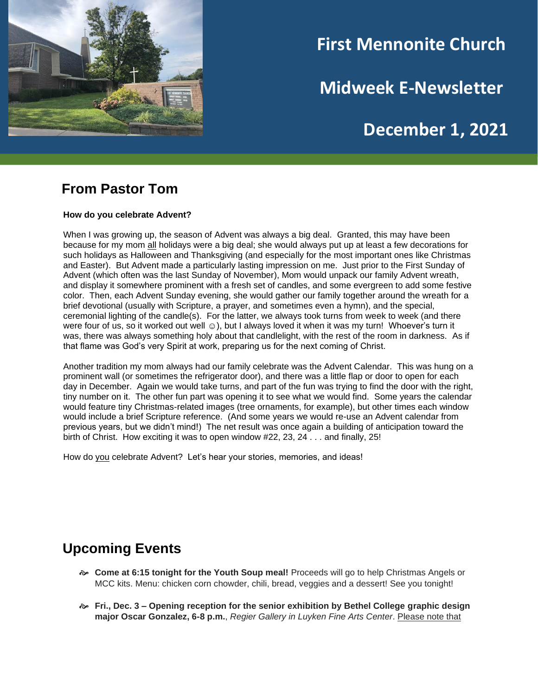

# **First Mennonite Church**

**Midweek E-Newsletter**

## **December 1, 2021**

#### **From Pastor Tom**

**How do you celebrate Advent?**

When I was growing up, the season of Advent was always a big deal. Granted, this may have been because for my mom all holidays were a big deal; she would always put up at least a few decorations for such holidays as Halloween and Thanksgiving (and especially for the most important ones like Christmas and Easter). But Advent made a particularly lasting impression on me. Just prior to the First Sunday of Advent (which often was the last Sunday of November), Mom would unpack our family Advent wreath, and display it somewhere prominent with a fresh set of candles, and some evergreen to add some festive color. Then, each Advent Sunday evening, she would gather our family together around the wreath for a brief devotional (usually with Scripture, a prayer, and sometimes even a hymn), and the special, ceremonial lighting of the candle(s). For the latter, we always took turns from week to week (and there were four of us, so it worked out well  $\odot$ ), but I always loved it when it was my turn! Whoever's turn it was, there was always something holy about that candlelight, with the rest of the room in darkness. As if that flame was God's very Spirit at work, preparing us for the next coming of Christ.

Another tradition my mom always had our family celebrate was the Advent Calendar. This was hung on a prominent wall (or sometimes the refrigerator door), and there was a little flap or door to open for each day in December. Again we would take turns, and part of the fun was trying to find the door with the right, tiny number on it. The other fun part was opening it to see what we would find. Some years the calendar would feature tiny Christmas-related images (tree ornaments, for example), but other times each window would include a brief Scripture reference. (And some years we would re-use an Advent calendar from previous years, but we didn't mind!) The net result was once again a building of anticipation toward the birth of Christ. How exciting it was to open window #22, 23, 24 . . . and finally, 25!

How do you celebrate Advent? Let's hear your stories, memories, and ideas!

## **Upcoming Events**

- **Come at 6:15 tonight for the Youth Soup meal!** Proceeds will go to help Christmas Angels or MCC kits. Menu: chicken corn chowder, chili, bread, veggies and a dessert! See you tonight!
- **Fri., Dec. 3 – Opening reception for the senior exhibition by Bethel College graphic design major Oscar Gonzalez, 6-8 p.m.**, *Regier Gallery in Luyken Fine Arts Center*. Please note that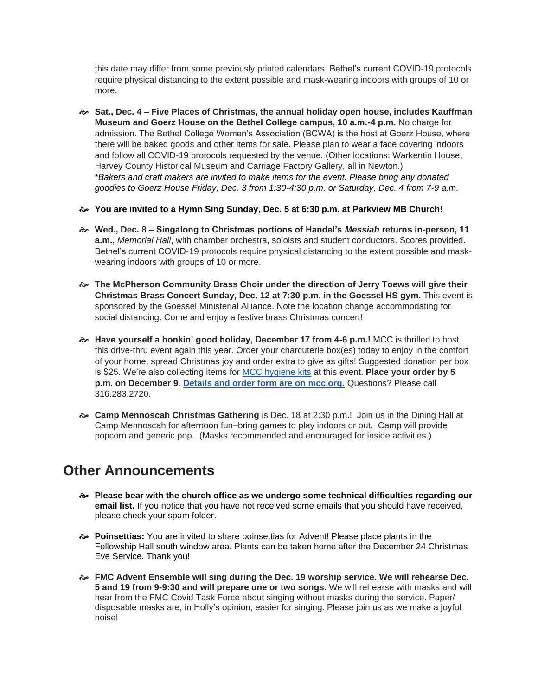this date may differ from some previously printed calendars. Bethel's current COVID-19 protocols require physical distancing to the extent possible and mask-wearing indoors with groups of 10 or more.

- **Sat., Dec. 4 – Five Places of Christmas, the annual holiday open house, includes Kauffman Museum and Goerz House on the Bethel College campus, 10 a.m.-4 p.m.** No charge for admission. The Bethel College Women's Association (BCWA) is the host at Goerz House, where there will be baked goods and other items for sale. Please plan to wear a face covering indoors and follow all COVID-19 protocols requested by the venue. (Other locations: Warkentin House, Harvey County Historical Museum and Carriage Factory Gallery, all in Newton.) \**Bakers and craft makers are invited to make items for the event. Please bring any donated goodies to Goerz House Friday, Dec. 3 from 1:30-4:30 p.m. or Saturday, Dec. 4 from 7-9 a.m.*
- **You are invited to a Hymn Sing Sunday, Dec. 5 at 6:30 p.m. at Parkview MB Church!**
- **Wed., Dec. 8 – Singalong to Christmas portions of Handel's** *Messiah* **returns in-person, 11 a.m.**, *Memorial Hall*, with chamber orchestra, soloists and student conductors. Scores provided. Bethel's current COVID-19 protocols require physical distancing to the extent possible and maskwearing indoors with groups of 10 or more.
- **The McPherson Community Brass Choir under the direction of Jerry Toews will give their Christmas Brass Concert Sunday, Dec. 12 at 7:30 p.m. in the Goessel HS gym.** This event is sponsored by the Goessel Ministerial Alliance. Note the location change accommodating for social distancing. Come and enjoy a festive brass Christmas concert!
- **Have yourself a honkin' good holiday, December 17 from 4-6 p.m.!** MCC is thrilled to host this drive-thru event again this year. Order your charcuterie box(es) today to enjoy in the comfort of your home, spread Christmas joy and order extra to give as gifts! Suggested donation per box is \$25. We're also collecting items for [MCC hygiene kits](https://mcc.org/get-involved/kits/hygiene) at this event. **Place your order by 5 p.m. on December 9**. **[Details and order form are on mcc.org.](https://mcc.org/get-involved/events/have-yourself-honkin-good-holiday)** Questions? Please call 316.283.2720.
- **Camp Mennoscah Christmas Gathering** is Dec. 18 at 2:30 p.m.! Join us in the Dining Hall at Camp Mennoscah for afternoon fun–bring games to play indoors or out. Camp will provide popcorn and generic pop. (Masks recommended and encouraged for inside activities.)

#### **Other Announcements**

- **Please bear with the church office as we undergo some technical difficulties regarding our email list.** If you notice that you have not received some emails that you should have received, please check your spam folder.
- **Poinsettias:** You are invited to share poinsettias for Advent! Please place plants in the Fellowship Hall south window area. Plants can be taken home after the December 24 Christmas Eve Service. Thank you!
- **FMC Advent Ensemble will sing during the Dec. 19 worship service. We will rehearse Dec. 5 and 19 from 9-9:30 and will prepare one or two songs.** We will rehearse with masks and will hear from the FMC Covid Task Force about singing without masks during the service. Paper/ disposable masks are, in Holly's opinion, easier for singing. Please join us as we make a joyful noise!